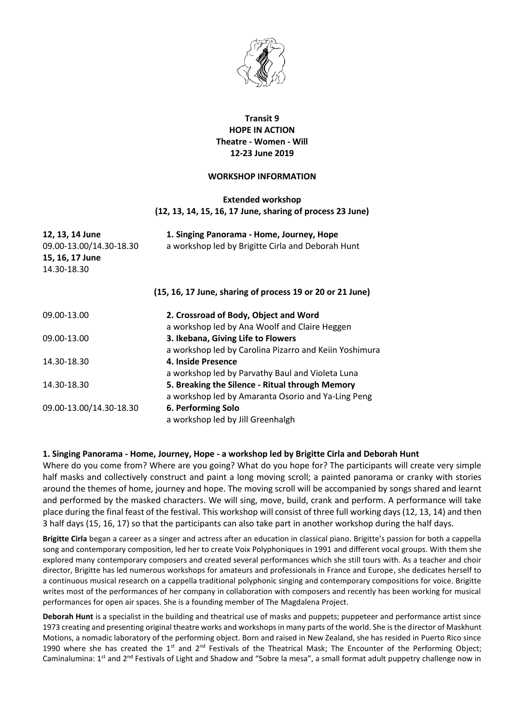

## **Transit 9 HOPE IN ACTION Theatre - Women - Will 12-23 June 2019**

## **WORKSHOP INFORMATION**

# **Extended workshop (12, 13, 14, 15, 16, 17 June, sharing of process 23 June)**

| 12, 13, 14 June         | 1. Singing Panorama - Home, Journey, Hope                 |
|-------------------------|-----------------------------------------------------------|
| 09.00-13.00/14.30-18.30 | a workshop led by Brigitte Cirla and Deborah Hunt         |
| 15, 16, 17 June         |                                                           |
| 14.30-18.30             |                                                           |
|                         | (15, 16, 17 June, sharing of process 19 or 20 or 21 June) |
| 09.00-13.00             | 2. Crossroad of Body, Object and Word                     |
|                         | a workshop led by Ana Woolf and Claire Heggen             |
| 09.00-13.00             | 3. Ikebana, Giving Life to Flowers                        |
|                         | a workshop led by Carolina Pizarro and Keiin Yoshimura    |
| 14.30-18.30             | 4. Inside Presence                                        |
|                         | a workshop led by Parvathy Baul and Violeta Luna          |
| 14.30-18.30             | 5. Breaking the Silence - Ritual through Memory           |
|                         | a workshop led by Amaranta Osorio and Ya-Ling Peng        |
| 09.00-13.00/14.30-18.30 | 6. Performing Solo                                        |
|                         | a workshop led by Jill Greenhalgh                         |

### **1. Singing Panorama - Home, Journey, Hope - a workshop led by Brigitte Cirla and Deborah Hunt**

Where do you come from? Where are you going? What do you hope for? The participants will create very simple half masks and collectively construct and paint a long moving scroll; a painted panorama or cranky with stories around the themes of home, journey and hope. The moving scroll will be accompanied by songs shared and learnt and performed by the masked characters. We will sing, move, build, crank and perform. A performance will take place during the final feast of the festival. This workshop will consist of three full working days (12, 13, 14) and then 3 half days (15, 16, 17) so that the participants can also take part in another workshop during the half days.

**Brigitte Cirla** began a career as a singer and actress after an education in classical piano. Brigitte's passion for both a cappella song and contemporary composition, led her to create Voix Polyphoniques in 1991 and different vocal groups. With them she explored many contemporary composers and created several performances which she still tours with. As a teacher and choir director, Brigitte has led numerous workshops for amateurs and professionals in France and Europe, she dedicates herself to a continuous musical research on a cappella traditional polyphonic singing and contemporary compositions for voice. Brigitte writes most of the performances of her company in collaboration with composers and recently has been working for musical performances for open air spaces. She is a founding member of The Magdalena Project.

**Deborah Hunt** is a specialist in the building and theatrical use of masks and puppets; puppeteer and performance artist since 1973 creating and presenting original theatre works and workshops in many parts of the world. She is the director of Maskhunt Motions, a nomadic laboratory of the performing object. Born and raised in New Zealand, she has resided in Puerto Rico since 1990 where she has created the 1<sup>st</sup> and 2<sup>nd</sup> Festivals of the Theatrical Mask; The Encounter of the Performing Object; Caminalumina: 1<sup>st</sup> and 2<sup>nd</sup> Festivals of Light and Shadow and "Sobre la mesa", a small format adult puppetry challenge now in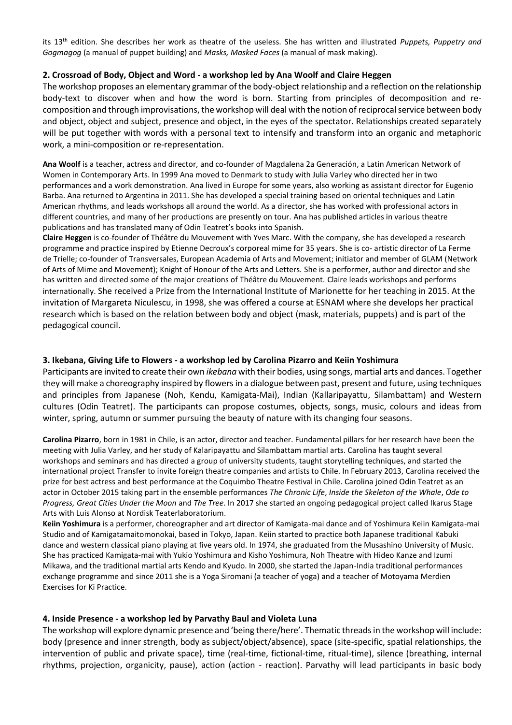its 13th edition. She describes her work as theatre of the useless. She has written and illustrated *Puppets, Puppetry and Gogmagog* (a manual of puppet building) and *Masks, Masked Faces* (a manual of mask making).

#### **2. Crossroad of Body, Object and Word - a workshop led by Ana Woolf and Claire Heggen**

The workshop proposes an elementary grammar of the body-object relationship and a reflection on the relationship body-text to discover when and how the word is born. Starting from principles of decomposition and recomposition and through improvisations, the workshop will deal with the notion of reciprocal service between body and object, object and subject, presence and object, in the eyes of the spectator. Relationships created separately will be put together with words with a personal text to intensify and transform into an organic and metaphoric work, a mini-composition or re-representation.

**Ana Woolf** is a teacher, actress and director, and co-founder of Magdalena 2a Generación, a Latin American Network of Women in Contemporary Arts. In 1999 Ana moved to Denmark to study with Julia Varley who directed her in two performances and a work demonstration. Ana lived in Europe for some years, also working as assistant director for Eugenio Barba. Ana returned to Argentina in 2011. She has developed a special training based on oriental techniques and Latin American rhythms, and leads workshops all around the world. As a director, she has worked with professional actors in different countries, and many of her productions are presently on tour. Ana has published articles in various theatre publications and has translated many of Odin Teatret's books into Spanish.

**Claire Heggen** is co-founder of Théâtre du Mouvement with Yves Marc. With the company, she has developed a research programme and practice inspired by Etienne Decroux's corporeal mime for 35 years. She is co- artistic director of La Ferme de Trielle; co-founder of Transversales, European Academia of Arts and Movement; initiator and member of GLAM (Network of Arts of Mime and Movement); Knight of Honour of the Arts and Letters. She is a performer, author and director and she has written and directed some of the major creations of Théâtre du Mouvement. Claire leads workshops and performs internationally. She received a Prize from the International Institute of Marionette for her teaching in 2015. At the invitation of Margareta Niculescu, in 1998, she was offered a course at ESNAM where she develops her practical research which is based on the relation between body and object (mask, materials, puppets) and is part of the pedagogical council.

#### **3. Ikebana, Giving Life to Flowers - a workshop led by Carolina Pizarro and Keiin Yoshimura**

Participants are invited to create their own *ikebana* with their bodies, using songs, martial arts and dances. Together they will make a choreography inspired by flowers in a dialogue between past, present and future, using techniques and principles from Japanese (Noh, Kendu, Kamigata-Mai), Indian (Kallaripayattu, Silambattam) and Western cultures (Odin Teatret). The participants can propose costumes, objects, songs, music, colours and ideas from winter, spring, autumn or summer pursuing the beauty of nature with its changing four seasons.

**Carolina Pizarro**, born in 1981 in Chile, is an actor, director and teacher. Fundamental pillars for her research have been the meeting with Julia Varley, and her study of Kalaripayattu and Silambattam martial arts. Carolina has taught several workshops and seminars and has directed a group of university students, taught storytelling techniques, and started the international project Transfer to invite foreign theatre companies and artists to Chile. In February 2013, Carolina received the prize for best actress and best performance at the Coquimbo Theatre Festival in Chile. Carolina joined Odin Teatret as an actor in October 2015 taking part in the ensemble performances *The Chronic Life*, *Inside the Skeleton of the Whale*, *Ode to Progress, Great Cities Under the Moon* and *The Tree*. In 2017 she started an ongoing pedagogical project called Ikarus Stage Arts with Luis Alonso at Nordisk Teaterlaboratorium.

**Keiin Yoshimura** is a performer, choreographer and art director of Kamigata-mai dance and of Yoshimura Keiin Kamigata-mai Studio and of Kamigatamaitomonokai, based in Tokyo, Japan. Keiin started to practice both Japanese traditional Kabuki dance and western classical piano playing at five years old. In 1974, she graduated from the Musashino University of Music. She has practiced Kamigata-mai with Yukio Yoshimura and Kisho Yoshimura, Noh Theatre with Hideo Kanze and Izumi Mikawa, and the traditional martial arts Kendo and Kyudo. In 2000, she started the Japan-India traditional performances exchange programme and since 2011 she is a Yoga Siromani (a teacher of yoga) and a teacher of Motoyama Merdien Exercises for Ki Practice.

#### **4. Inside Presence - a workshop led by Parvathy Baul and Violeta Luna**

The workshop will explore dynamic presence and 'being there/here'. Thematic threads in the workshop will include: body (presence and inner strength, body as subject/object/absence), space (site-specific, spatial relationships, the intervention of public and private space), time (real-time, fictional-time, ritual-time), silence (breathing, internal rhythms, projection, organicity, pause), action (action - reaction). Parvathy will lead participants in basic body